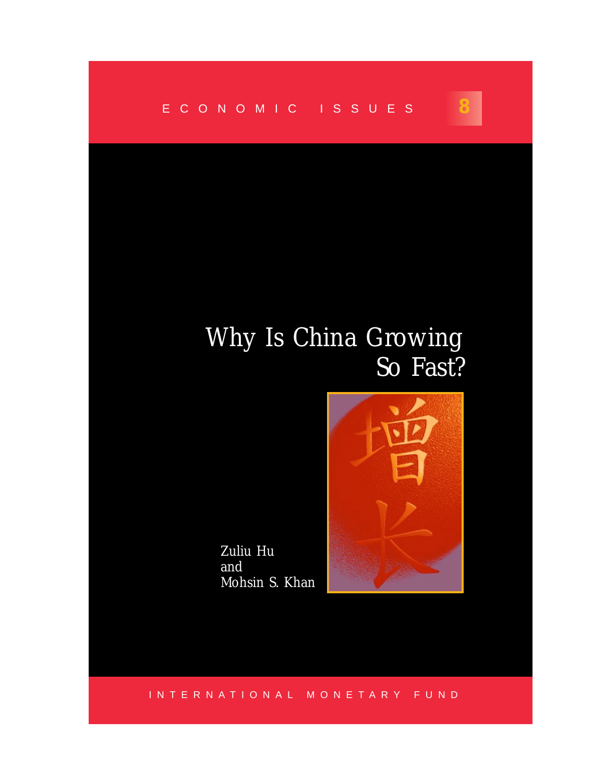

# Why Is China Growing So Fast?

**8**

INTERNATIONAL MONETARY FUND

Zuliu Hu

Mohsin S. Khan

and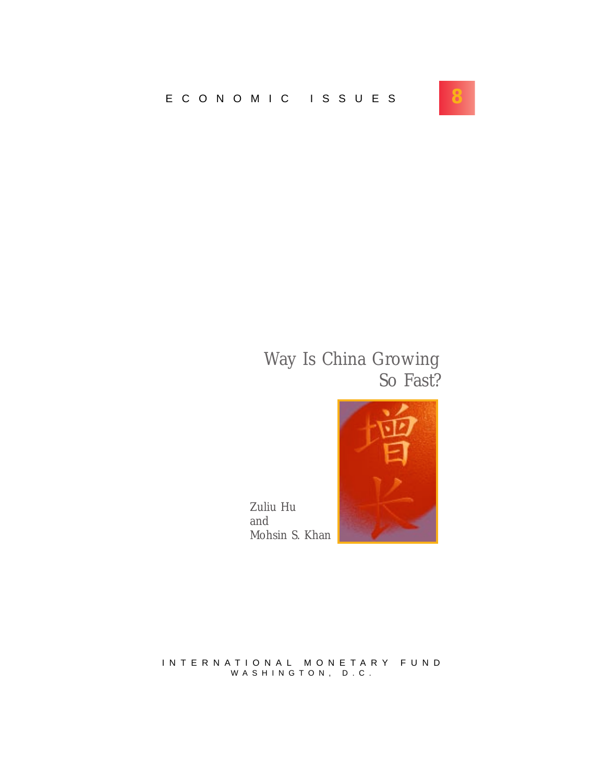

## Way Is China Growing So Fast?



Zuliu Hu and Mohsin S. Khan

INTERNATIONAL MONETARY FUND WASHINGTON, D.C.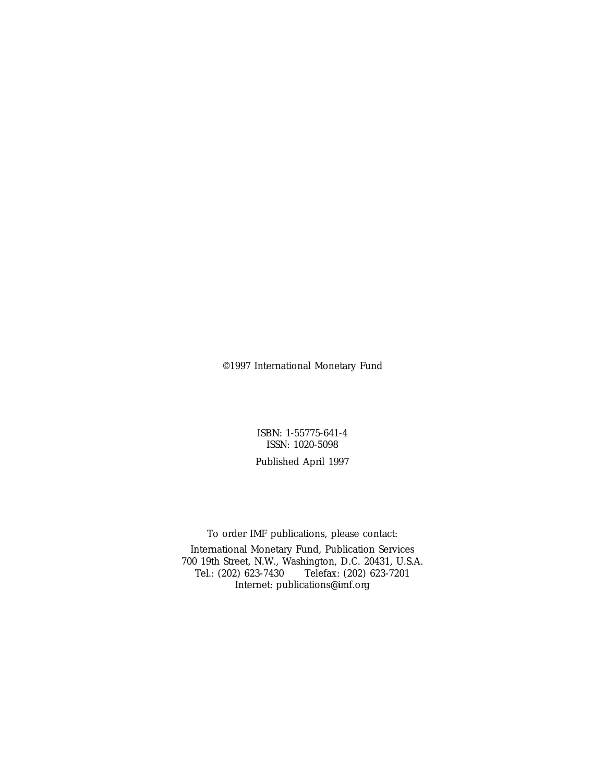©1997 International Monetary Fund

ISBN: 1-55775-641-4 ISSN: 1020-5098

Published April 1997

To order IMF publications, please contact:

International Monetary Fund, Publication Services 700 19th Street, N.W., Washington, D.C. 20431, U.S.A. Tel.: (202) 623-7430 Telefax: (202) 623-7201 Internet: publications@imf.org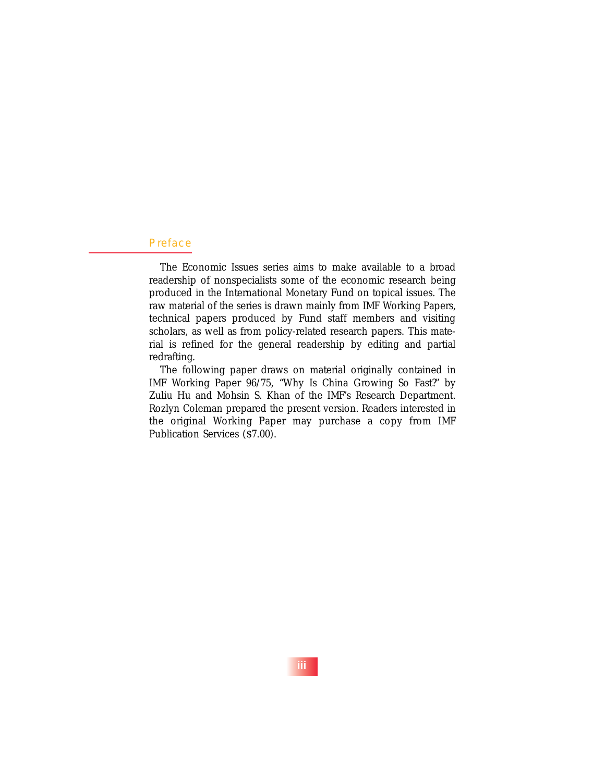#### Preface

The Economic Issues series aims to make available to a broad readership of nonspecialists some of the economic research being produced in the International Monetary Fund on topical issues. The raw material of the series is drawn mainly from IMF Working Papers, technical papers produced by Fund staff members and visiting scholars, as well as from policy-related research papers. This material is refined for the general readership by editing and partial redrafting.

The following paper draws on material originally contained in IMF Working Paper 96/75, "Why Is China Growing So Fast?" by Zuliu Hu and Mohsin S. Khan of the IMF's Research Department. Rozlyn Coleman prepared the present version. Readers interested in the original Working Paper may purchase a copy from IMF Publication Services (\$7.00).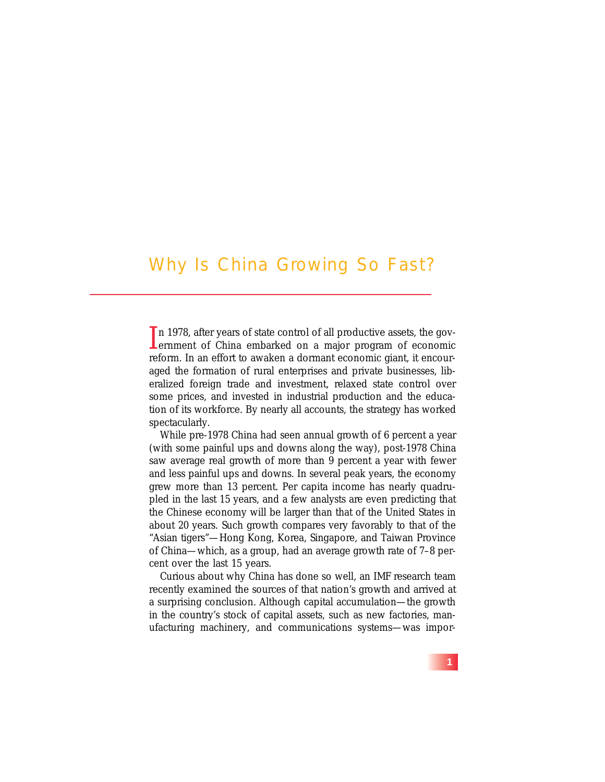### Why Is China Growing So Fast?

In 1978, after years of state control of all productive assets, the government of China embarked on a major program of economic In 1978, after years of state control of all productive assets, the govreform. In an effort to awaken a dormant economic giant, it encouraged the formation of rural enterprises and private businesses, liberalized foreign trade and investment, relaxed state control over some prices, and invested in industrial production and the education of its workforce. By nearly all accounts, the strategy has worked spectacularly.

While pre-1978 China had seen annual growth of 6 percent a year (with some painful ups and downs along the way), post-1978 China saw average real growth of more than 9 percent a year with fewer and less painful ups and downs. In several peak years, the economy grew more than 13 percent. Per capita income has nearly quadrupled in the last 15 years, and a few analysts are even predicting that the Chinese economy will be larger than that of the United States in about 20 years. Such growth compares very favorably to that of the "Asian tigers"—Hong Kong, Korea, Singapore, and Taiwan Province of China—which, as a group, had an average growth rate of 7–8 percent over the last 15 years.

Curious about why China has done so well, an IMF research team recently examined the sources of that nation's growth and arrived at a surprising conclusion. Although capital accumulation—the growth in the country's stock of capital assets, such as new factories, manufacturing machinery, and communications systems—was impor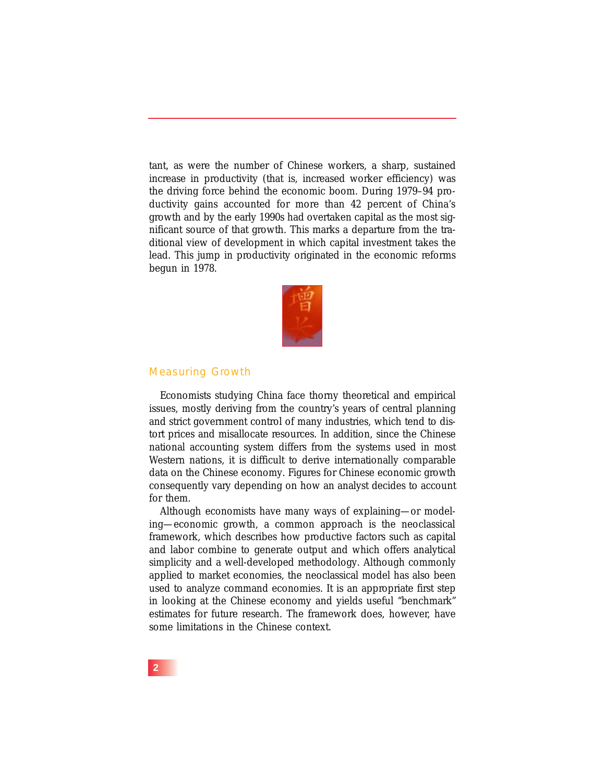tant, as were the number of Chinese workers, a sharp, sustained increase in productivity (that is, increased worker efficiency) was the driving force behind the economic boom. During 1979–94 productivity gains accounted for more than 42 percent of China's growth and by the early 1990s had overtaken capital as the most significant source of that growth. This marks a departure from the traditional view of development in which capital investment takes the lead. This jump in productivity originated in the economic reforms begun in 1978.



#### Measuring Growth

Economists studying China face thorny theoretical and empirical issues, mostly deriving from the country's years of central planning and strict government control of many industries, which tend to distort prices and misallocate resources. In addition, since the Chinese national accounting system differs from the systems used in most Western nations, it is difficult to derive internationally comparable data on the Chinese economy. Figures for Chinese economic growth consequently vary depending on how an analyst decides to account for them.

Although economists have many ways of explaining—or modeling—economic growth, a common approach is the neoclassical framework, which describes how productive factors such as capital and labor combine to generate output and which offers analytical simplicity and a well-developed methodology. Although commonly applied to market economies, the neoclassical model has also been used to analyze command economies. It is an appropriate first step in looking at the Chinese economy and yields useful "benchmark" estimates for future research. The framework does, however, have some limitations in the Chinese context.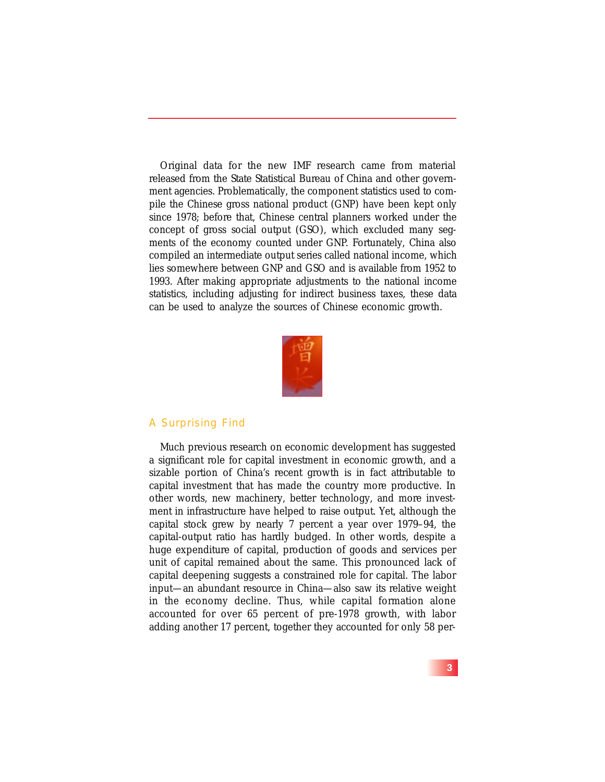Original data for the new IMF research came from material released from the State Statistical Bureau of China and other government agencies. Problematically, the component statistics used to compile the Chinese gross national product (GNP) have been kept only since 1978; before that, Chinese central planners worked under the concept of gross social output (GSO), which excluded many segments of the economy counted under GNP. Fortunately, China also compiled an intermediate output series called national income, which lies somewhere between GNP and GSO and is available from 1952 to 1993. After making appropriate adjustments to the national income statistics, including adjusting for indirect business taxes, these data can be used to analyze the sources of Chinese economic growth.



#### A Surprising Find

Much previous research on economic development has suggested a significant role for capital investment in economic growth, and a sizable portion of China's recent growth is in fact attributable to capital investment that has made the country more productive. In other words, new machinery, better technology, and more investment in infrastructure have helped to raise output. Yet, although the capital stock grew by nearly 7 percent a year over 1979–94, the capital-output ratio has hardly budged. In other words, despite a huge expenditure of capital, production of goods and services per unit of capital remained about the same. This pronounced lack of capital deepening suggests a constrained role for capital. The labor input—an abundant resource in China—also saw its relative weight in the economy decline. Thus, while capital formation alone accounted for over 65 percent of pre-1978 growth, with labor adding another 17 percent, together they accounted for only 58 per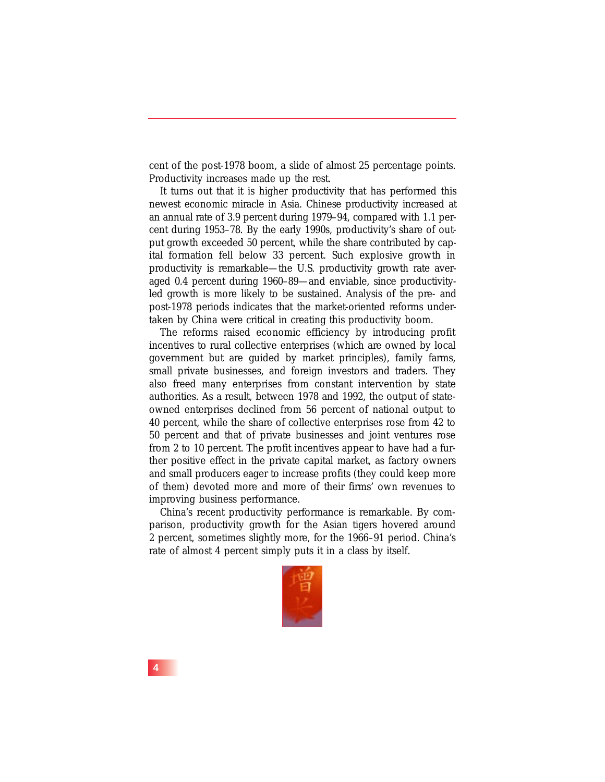cent of the post-1978 boom, a slide of almost 25 percentage points. Productivity increases made up the rest.

It turns out that it is higher productivity that has performed this newest economic miracle in Asia. Chinese productivity increased at an annual rate of 3.9 percent during 1979–94, compared with 1.1 percent during 1953–78. By the early 1990s, productivity's share of output growth exceeded 50 percent, while the share contributed by capital formation fell below 33 percent. Such explosive growth in productivity is remarkable—the U.S. productivity growth rate averaged 0.4 percent during 1960–89—and enviable, since productivityled growth is more likely to be sustained. Analysis of the pre- and post-1978 periods indicates that the market-oriented reforms undertaken by China were critical in creating this productivity boom.

The reforms raised economic efficiency by introducing profit incentives to rural collective enterprises (which are owned by local government but are guided by market principles), family farms, small private businesses, and foreign investors and traders. They also freed many enterprises from constant intervention by state authorities. As a result, between 1978 and 1992, the output of stateowned enterprises declined from 56 percent of national output to 40 percent, while the share of collective enterprises rose from 42 to 50 percent and that of private businesses and joint ventures rose from 2 to 10 percent. The profit incentives appear to have had a further positive effect in the private capital market, as factory owners and small producers eager to increase profits (they could keep more of them) devoted more and more of their firms' own revenues to improving business performance.

China's recent productivity performance is remarkable. By comparison, productivity growth for the Asian tigers hovered around 2 percent, sometimes slightly more, for the 1966–91 period. China's rate of almost 4 percent simply puts it in a class by itself.



**4**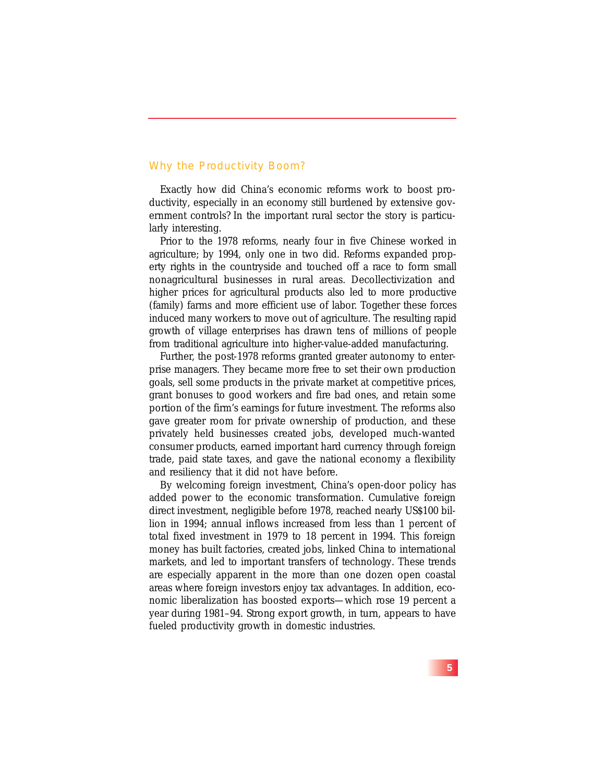#### Why the Productivity Boom?

Exactly how did China's economic reforms work to boost productivity, especially in an economy still burdened by extensive government controls? In the important rural sector the story is particularly interesting.

Prior to the 1978 reforms, nearly four in five Chinese worked in agriculture; by 1994, only one in two did. Reforms expanded property rights in the countryside and touched off a race to form small nonagricultural businesses in rural areas. Decollectivization and higher prices for agricultural products also led to more productive (family) farms and more efficient use of labor. Together these forces induced many workers to move out of agriculture. The resulting rapid growth of village enterprises has drawn tens of millions of people from traditional agriculture into higher-value-added manufacturing.

Further, the post-1978 reforms granted greater autonomy to enterprise managers. They became more free to set their own production goals, sell some products in the private market at competitive prices, grant bonuses to good workers and fire bad ones, and retain some portion of the firm's earnings for future investment. The reforms also gave greater room for private ownership of production, and these privately held businesses created jobs, developed much-wanted consumer products, earned important hard currency through foreign trade, paid state taxes, and gave the national economy a flexibility and resiliency that it did not have before.

By welcoming foreign investment, China's open-door policy has added power to the economic transformation. Cumulative foreign direct investment, negligible before 1978, reached nearly US\$100 billion in 1994; annual inflows increased from less than 1 percent of total fixed investment in 1979 to 18 percent in 1994. This foreign money has built factories, created jobs, linked China to international markets, and led to important transfers of technology. These trends are especially apparent in the more than one dozen open coastal areas where foreign investors enjoy tax advantages. In addition, economic liberalization has boosted exports—which rose 19 percent a year during 1981–94. Strong export growth, in turn, appears to have fueled productivity growth in domestic industries.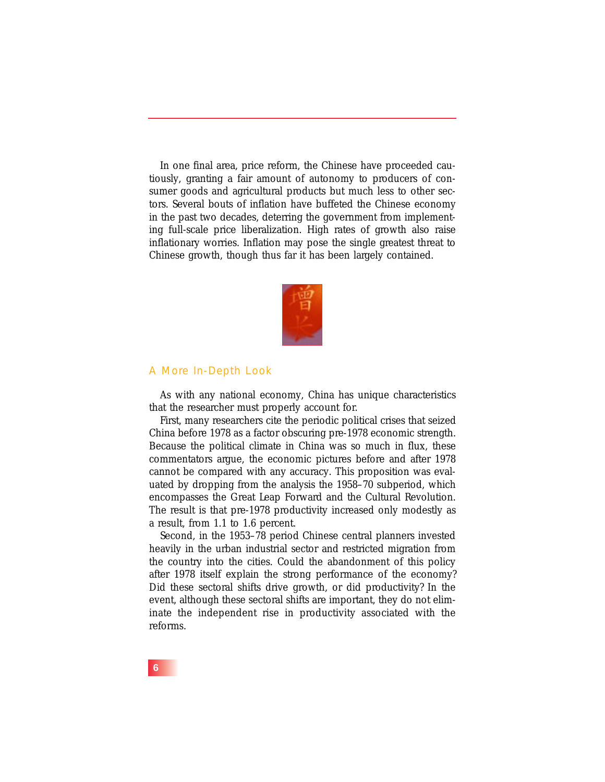In one final area, price reform, the Chinese have proceeded cautiously, granting a fair amount of autonomy to producers of consumer goods and agricultural products but much less to other sectors. Several bouts of inflation have buffeted the Chinese economy in the past two decades, deterring the government from implementing full-scale price liberalization. High rates of growth also raise inflationary worries. Inflation may pose the single greatest threat to Chinese growth, though thus far it has been largely contained.



#### A More In-Depth Look

As with any national economy, China has unique characteristics that the researcher must properly account for.

First, many researchers cite the periodic political crises that seized China before 1978 as a factor obscuring pre-1978 economic strength. Because the political climate in China was so much in flux, these commentators argue, the economic pictures before and after 1978 cannot be compared with any accuracy. This proposition was evaluated by dropping from the analysis the 1958–70 subperiod, which encompasses the Great Leap Forward and the Cultural Revolution. The result is that pre-1978 productivity increased only modestly as a result, from 1.1 to 1.6 percent.

Second, in the 1953–78 period Chinese central planners invested heavily in the urban industrial sector and restricted migration from the country into the cities. Could the abandonment of this policy after 1978 itself explain the strong performance of the economy? Did these sectoral shifts drive growth, or did productivity? In the event, although these sectoral shifts are important, they do not eliminate the independent rise in productivity associated with the reforms.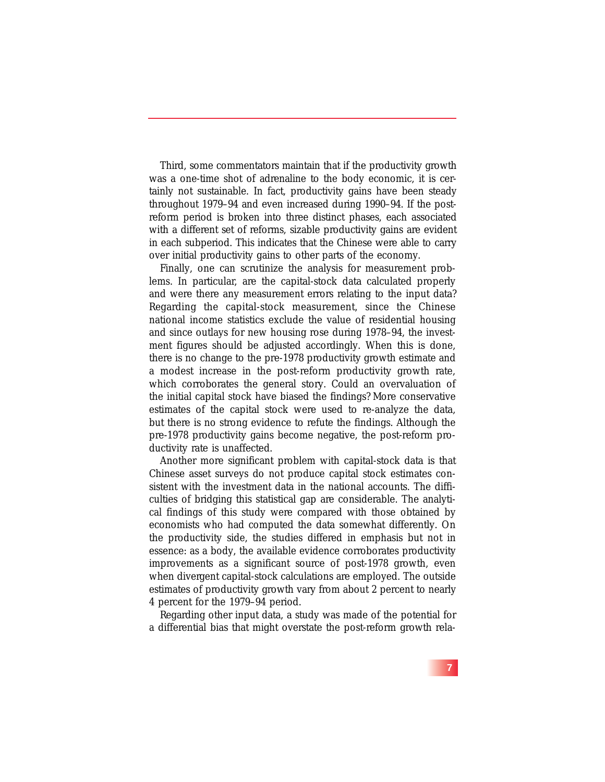Third, some commentators maintain that if the productivity growth was a one-time shot of adrenaline to the body economic, it is certainly not sustainable. In fact, productivity gains have been steady throughout 1979–94 and even increased during 1990–94. If the postreform period is broken into three distinct phases, each associated with a different set of reforms, sizable productivity gains are evident in each subperiod. This indicates that the Chinese were able to carry over initial productivity gains to other parts of the economy.

Finally, one can scrutinize the analysis for measurement problems. In particular, are the capital-stock data calculated properly and were there any measurement errors relating to the input data? Regarding the capital-stock measurement, since the Chinese national income statistics exclude the value of residential housing and since outlays for new housing rose during 1978–94, the investment figures should be adjusted accordingly. When this is done, there is no change to the pre-1978 productivity growth estimate and a modest increase in the post-reform productivity growth rate, which corroborates the general story. Could an overvaluation of the initial capital stock have biased the findings? More conservative estimates of the capital stock were used to re-analyze the data, but there is no strong evidence to refute the findings. Although the pre-1978 productivity gains become negative, the post-reform productivity rate is unaffected.

Another more significant problem with capital-stock data is that Chinese asset surveys do not produce capital stock estimates consistent with the investment data in the national accounts. The difficulties of bridging this statistical gap are considerable. The analytical findings of this study were compared with those obtained by economists who had computed the data somewhat differently. On the productivity side, the studies differed in emphasis but not in essence: as a body, the available evidence corroborates productivity improvements as a significant source of post-1978 growth, even when divergent capital-stock calculations are employed. The outside estimates of productivity growth vary from about 2 percent to nearly 4 percent for the 1979–94 period.

Regarding other input data, a study was made of the potential for a differential bias that might overstate the post-reform growth rela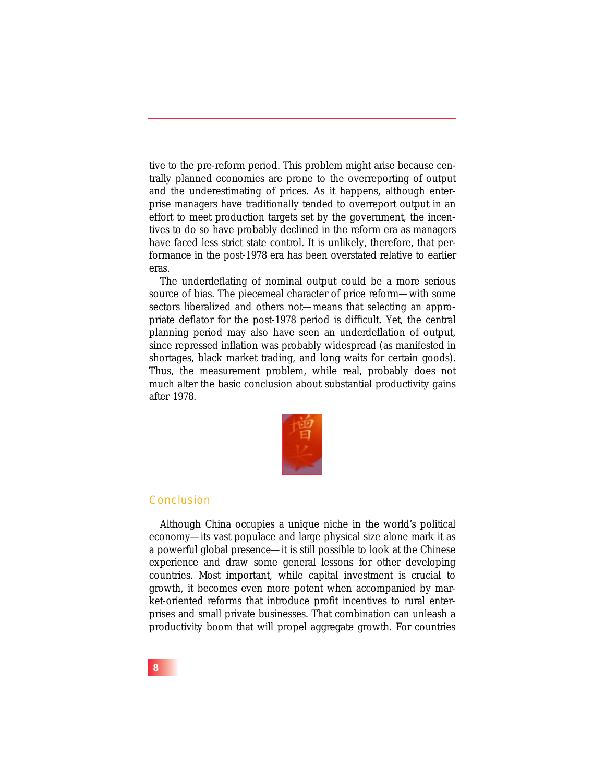tive to the pre-reform period. This problem might arise because centrally planned economies are prone to the overreporting of output and the underestimating of prices. As it happens, although enterprise managers have traditionally tended to overreport output in an effort to meet production targets set by the government, the incentives to do so have probably declined in the reform era as managers have faced less strict state control. It is unlikely, therefore, that performance in the post-1978 era has been overstated relative to earlier eras.

The underdeflating of nominal output could be a more serious source of bias. The piecemeal character of price reform—with some sectors liberalized and others not—means that selecting an appropriate deflator for the post-1978 period is difficult. Yet, the central planning period may also have seen an underdeflation of output, since repressed inflation was probably widespread (as manifested in shortages, black market trading, and long waits for certain goods). Thus, the measurement problem, while real, probably does not much alter the basic conclusion about substantial productivity gains after 1978.



#### Conclusion

Although China occupies a unique niche in the world's political economy—its vast populace and large physical size alone mark it as a powerful global presence—it is still possible to look at the Chinese experience and draw some general lessons for other developing countries. Most important, while capital investment is crucial to growth, it becomes even more potent when accompanied by market-oriented reforms that introduce profit incentives to rural enterprises and small private businesses. That combination can unleash a productivity boom that will propel aggregate growth. For countries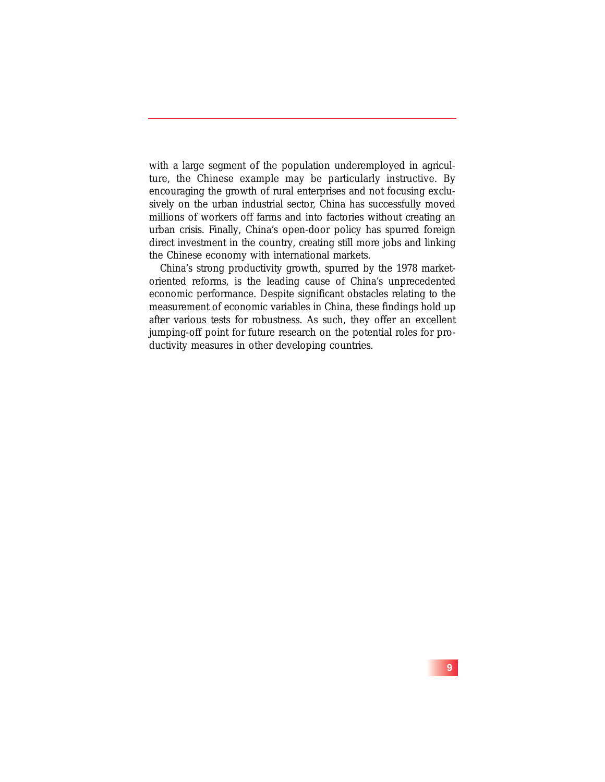with a large segment of the population underemployed in agriculture, the Chinese example may be particularly instructive. By encouraging the growth of rural enterprises and not focusing exclusively on the urban industrial sector, China has successfully moved millions of workers off farms and into factories without creating an urban crisis. Finally, China's open-door policy has spurred foreign direct investment in the country, creating still more jobs and linking the Chinese economy with international markets.

China's strong productivity growth, spurred by the 1978 marketoriented reforms, is the leading cause of China's unprecedented economic performance. Despite significant obstacles relating to the measurement of economic variables in China, these findings hold up after various tests for robustness. As such, they offer an excellent jumping-off point for future research on the potential roles for productivity measures in other developing countries.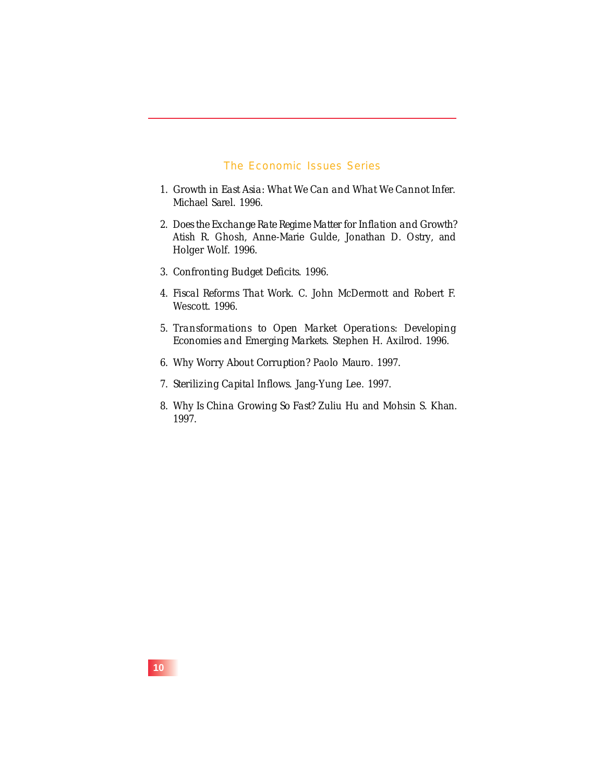#### The Economic Issues Series

- 1. *Growth in East Asia: What We Can and What We Cannot Infer*. Michael Sarel. 1996.
- 2. *Does the Exchange Rate Regime Matter for Inflation and Growth?* Atish R. Ghosh, Anne-Marie Gulde, Jonathan D. Ostry, and Holger Wolf. 1996.
- 3. *Confronting Budget Deficits*. 1996.
- 4. *Fiscal Reforms That Work.* C. John McDermott and Robert F. Wescott. 1996.
- 5. *Transformations to Open Market Operations: Developing Economies and Emerging Markets.* Stephen H. Axilrod. 1996.
- 6. *Why Worry About Corruption?* Paolo Mauro. 1997.
- 7. *Sterilizing Capital Inflows.* Jang-Yung Lee. 1997.
- 8. *Why Is China Growing So Fast?* Zuliu Hu and Mohsin S. Khan. 1997.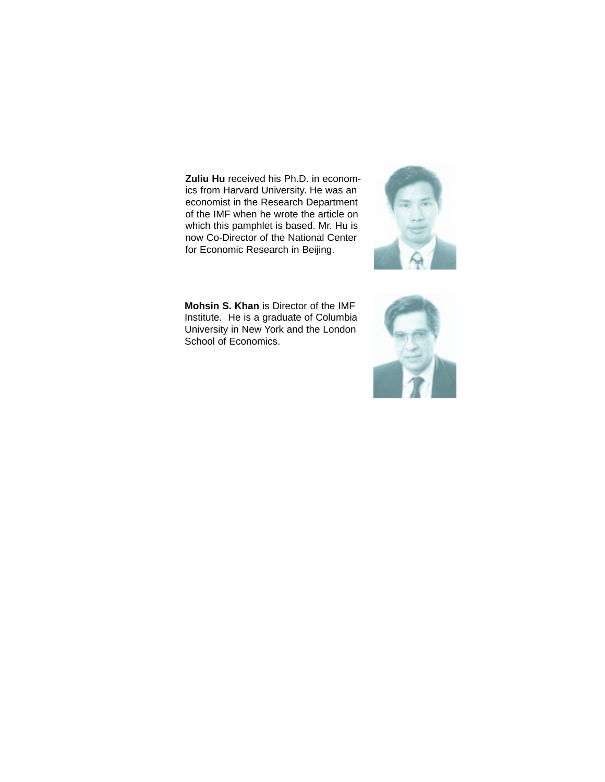**Zuliu Hu** received his Ph.D. in economics from Harvard University. He was an economist in the Research Department of the IMF when he wrote the article on which this pamphlet is based. Mr. Hu is now Co-Director of the National Center for Economic Research in Beijing.



**Mohsin S. Khan** is Director of the IMF Institute. He is a graduate of Columbia University in New York and the London School of Economics.